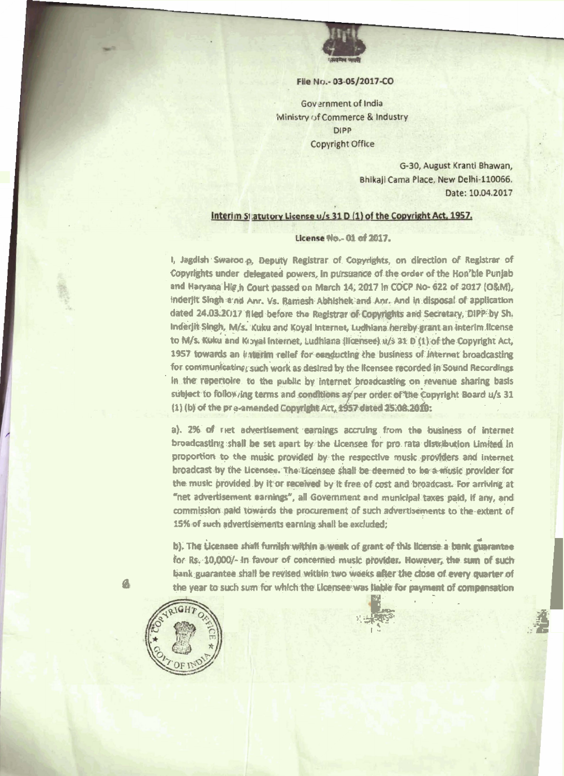

## File No. - 03-05/2017-CO

Government of India Ministry of Commerce & Industry **DIPP Copyright Office** 

> G-30, August Kranti Bhawan, Bhikaji Cama Place, New Delhi-110066. Date: 10.04.2017

## Interim Statutory License u/s 31 D (1) of the Copyright Act, 1957.

## License No.- 01 of 2017.

I, Jagdish Swaroo.p, Deputy Registrar of Copyrights, on direction of Registrar of Copyrights under delegated powers, in pursuance of the order of the Hon'ble Punjab and Haryana Hig h Court passed on March 14, 2017 in COCP No- 622 of 2017 (O&M), inderjit Slingh a nd Anr. Vs. Ramesh Abhishek and Anr. And in disposal of application dated 24.03.2017 filed before the Registrar of Copyrights and Secretary, DIPP by Sh. Inderjit Singh, M/s. Kuku and Koyal Internet, Ludhiana hereby grant an interim license to M/s. Kuku and Kroyal Internet, Ludhiana (licensee) u/s 31 D (1) of the Copyright Act, 1957 towards an interim relief for englucting the business of internet broadcasting for communicating, such work as desired by the licensee recorded in Sound Recordings In the repertoire, to the public by internet broadcasting on revenue sharing basis subject to follow ing terms and conditions as per order of the Copyright Board u/s 31 (1) (b) of the pre-amended Copyright Art, 1957 dated 25:08.2010:

a). 2% of riet advertisement earnings accruing from the business of internet broadcasting shall be set apart by the Licensee for pro rata distribution Limited in proportion to the music provided by the respective music providers and internet broadcast by the Licensee. The Licensee shall be deemed to be a music provider for the music provided by it or received by it free of cost and broadcast. For arriving at "net advertisement carnings", all Government and municipal taxes paid, if any, and commission paid towards the procurement of such advertisements to the extent of 15% of such advertisements earning shall be excluded;

b). The Licensee shall furnish within a week of grant of this license a bank guarantee for Rs. 10,000/- in favour of concerned music provider. However, the sum of such bank guarantee shall be revised within two weeks after the close of every quarter of the year to such sum for which the Licensee was liable for payment of compensation



G